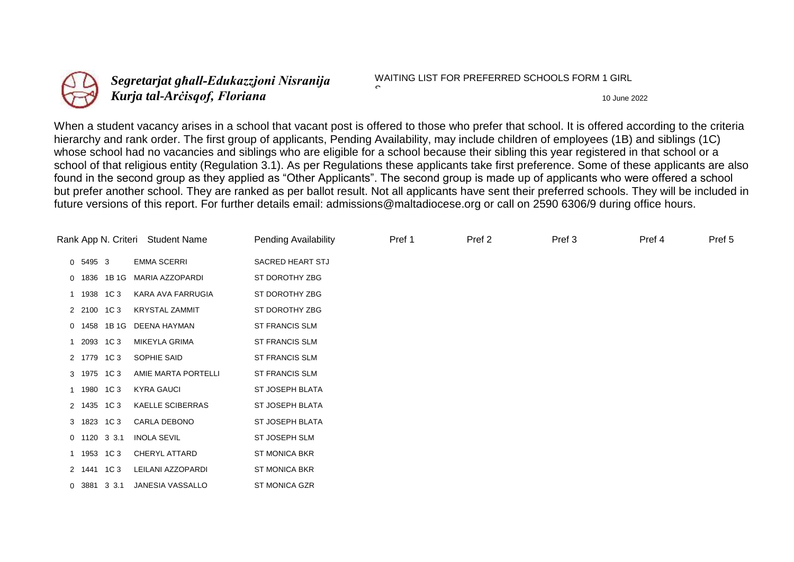

*Segretarjat għall-Edukazzjoni Nisranija Kurja tal-Arc`isqof, Floriana* 10 June 2022

WAITING LIST FOR PREFERRED SCHOOLS FORM 1 GIRL

When a student vacancy arises in a school that vacant post is offered to those who prefer that school. It is offered according to the criteria hierarchy and rank order. The first group of applicants, Pending Availability, may include children of employees (1B) and siblings (1C) whose school had no vacancies and siblings who are eligible for a school because their sibling this year registered in that school or a school of that religious entity (Regulation 3.1). As per Regulations these applicants take first preference. Some of these applicants are also found in the second group as they applied as "Other Applicants". The second group is made up of applicants who were offered a school but prefer another school. They are ranked as per ballot result. Not all applicants have sent their preferred schools. They will be included in future versions of this report. For further details email: admissions@maltadiocese.org or call on 2590 6306/9 during office hours.

C

| Rank App N. Criteri Student Name |                |              | <b>Pending Availability</b> | Pref 1                | Pref 2 | Pref 3 | Pref 4 | Pref 5 |  |
|----------------------------------|----------------|--------------|-----------------------------|-----------------------|--------|--------|--------|--------|--|
|                                  | 0 5495 3       |              | <b>EMMA SCERRI</b>          | SACRED HEART STJ      |        |        |        |        |  |
|                                  |                | 0 1836 1B 1G | MARIA AZZOPARDI             | ST DOROTHY ZBG        |        |        |        |        |  |
|                                  | 1 1938 1C3     |              | KARA AVA FARRUGIA           | ST DOROTHY ZBG        |        |        |        |        |  |
|                                  | 2 2100 1C3     |              | <b>KRYSTAL ZAMMIT</b>       | ST DOROTHY ZBG        |        |        |        |        |  |
|                                  |                | 0 1458 1B1G  | DEENA HAYMAN                | ST FRANCIS SLM        |        |        |        |        |  |
|                                  | 2093 1C3       |              | <b>MIKEYLA GRIMA</b>        | ST FRANCIS SLM        |        |        |        |        |  |
|                                  | 2 1779 1C3     |              | SOPHIE SAID                 | ST FRANCIS SLM        |        |        |        |        |  |
|                                  | 3 1975 1C3     |              | AMIE MARTA PORTELLI         | <b>ST FRANCIS SLM</b> |        |        |        |        |  |
| 1                                | 1980 1C 3      |              | <b>KYRA GAUCI</b>           | ST JOSEPH BLATA       |        |        |        |        |  |
|                                  | 2 1435 1C3     |              | <b>KAELLE SCIBERRAS</b>     | ST JOSEPH BLATA       |        |        |        |        |  |
|                                  | 3 1823 1C3     |              | CARLA DEBONO                | ST JOSEPH BLATA       |        |        |        |        |  |
|                                  | $0$ 1120 3 3.1 |              | <b>INOLA SEVIL</b>          | ST JOSEPH SLM         |        |        |        |        |  |
|                                  | 1 1953 1C3     |              | CHERYL ATTARD               | <b>ST MONICA BKR</b>  |        |        |        |        |  |
|                                  | 2 1441 1C3     |              | LEILANI AZZOPARDI           | <b>ST MONICA BKR</b>  |        |        |        |        |  |
|                                  | 0 3881 3 3.1   |              | JANESIA VASSALLO            | <b>ST MONICA GZR</b>  |        |        |        |        |  |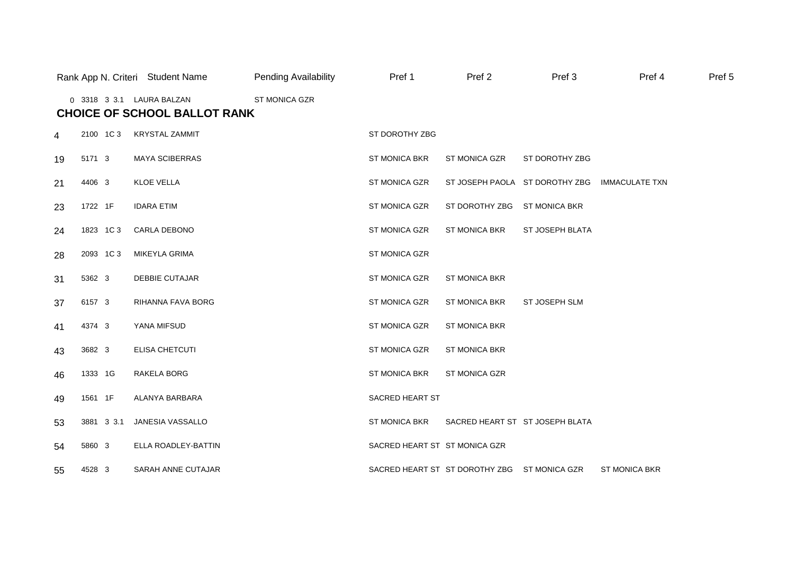|                |          |            | Rank App N. Criteri Student Name                                 | <b>Pending Availability</b> | Pref 1                        | Pref <sub>2</sub>                            | Pref 3               | Pref 4                | Pref 5 |
|----------------|----------|------------|------------------------------------------------------------------|-----------------------------|-------------------------------|----------------------------------------------|----------------------|-----------------------|--------|
|                |          |            | 0 3318 3 3.1 LAURA BALZAN<br><b>CHOICE OF SCHOOL BALLOT RANK</b> | ST MONICA GZR               |                               |                                              |                      |                       |        |
| $\overline{4}$ |          | 2100 1C3   | <b>KRYSTAL ZAMMIT</b>                                            |                             | ST DOROTHY ZBG                |                                              |                      |                       |        |
| 19             | 5171 3   |            | <b>MAYA SCIBERRAS</b>                                            |                             | <b>ST MONICA BKR</b>          | ST MONICA GZR                                | ST DOROTHY ZBG       |                       |        |
| 21             | 4406 3   |            | <b>KLOE VELLA</b>                                                |                             | ST MONICA GZR                 | ST JOSEPH PAOLA ST DOROTHY ZBG               |                      | <b>IMMACULATE TXN</b> |        |
| 23             | 1722 1F  |            | <b>IDARA ETIM</b>                                                |                             | ST MONICA GZR                 | ST DOROTHY ZBG                               | <b>ST MONICA BKR</b> |                       |        |
| 24             |          | 1823 1C 3  | CARLA DEBONO                                                     |                             | ST MONICA GZR                 | ST MONICA BKR                                | ST JOSEPH BLATA      |                       |        |
| 28             | 2093 1C3 |            | MIKEYLA GRIMA                                                    |                             | <b>ST MONICA GZR</b>          |                                              |                      |                       |        |
| 31             | 5362 3   |            | <b>DEBBIE CUTAJAR</b>                                            |                             | ST MONICA GZR                 | ST MONICA BKR                                |                      |                       |        |
| 37             | 6157 3   |            | RIHANNA FAVA BORG                                                |                             | <b>ST MONICA GZR</b>          | <b>ST MONICA BKR</b>                         | ST JOSEPH SLM        |                       |        |
| 41             | 4374 3   |            | YANA MIFSUD                                                      |                             | ST MONICA GZR                 | <b>ST MONICA BKR</b>                         |                      |                       |        |
| 43             | 3682 3   |            | <b>ELISA CHETCUTI</b>                                            |                             | ST MONICA GZR                 | <b>ST MONICA BKR</b>                         |                      |                       |        |
| 46             | 1333 1G  |            | RAKELA BORG                                                      |                             | ST MONICA BKR                 | <b>ST MONICA GZR</b>                         |                      |                       |        |
| 49             | 1561 1F  |            | ALANYA BARBARA                                                   |                             | SACRED HEART ST               |                                              |                      |                       |        |
| 53             |          | 3881 3 3.1 | JANESIA VASSALLO                                                 |                             | <b>ST MONICA BKR</b>          | SACRED HEART ST ST JOSEPH BLATA              |                      |                       |        |
| 54             | 5860 3   |            | ELLA ROADLEY-BATTIN                                              |                             | SACRED HEART ST ST MONICA GZR |                                              |                      |                       |        |
| 55             | 4528 3   |            | SARAH ANNE CUTAJAR                                               |                             |                               | SACRED HEART ST ST DOROTHY ZBG ST MONICA GZR |                      | <b>ST MONICA BKR</b>  |        |